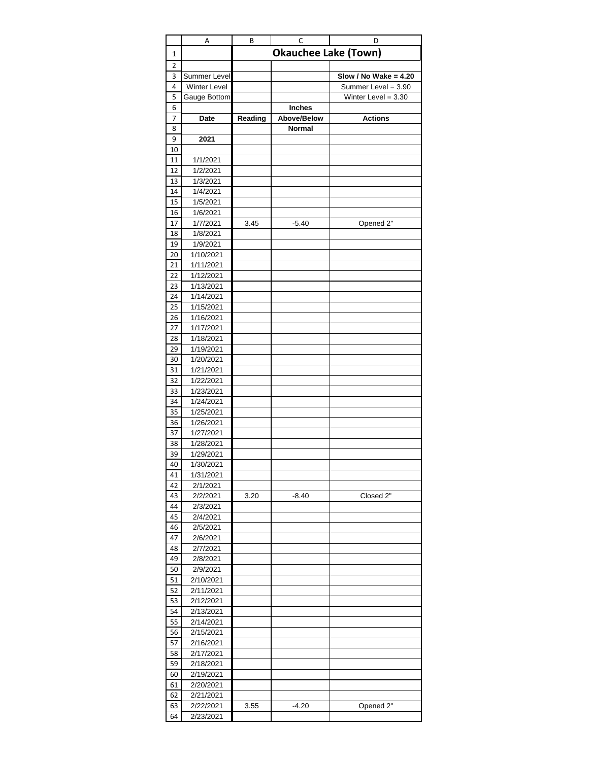|          | Α                   | В       | C                           | D                       |
|----------|---------------------|---------|-----------------------------|-------------------------|
| 1        |                     |         | <b>Okauchee Lake (Town)</b> |                         |
| 2        |                     |         |                             |                         |
| 3        | Summer Level        |         |                             | Slow / No Wake = $4.20$ |
| 4        | <b>Winter Level</b> |         |                             | Summer Level = 3.90     |
| 5        | Gauge Bottom        |         |                             | Winter Level = $3.30$   |
| 6        |                     |         | <b>Inches</b>               |                         |
| 7        | Date                | Reading | Above/Below                 | <b>Actions</b>          |
| 8        |                     |         | <b>Normal</b>               |                         |
| 9        | 2021                |         |                             |                         |
| 10<br>11 | 1/1/2021            |         |                             |                         |
| 12       | 1/2/2021            |         |                             |                         |
| 13       | 1/3/2021            |         |                             |                         |
| 14       | 1/4/2021            |         |                             |                         |
| 15       | 1/5/2021            |         |                             |                         |
| 16       | 1/6/2021            |         |                             |                         |
| 17       | 1/7/2021            | 3.45    | $-5.40$                     | Opened 2"               |
| 18       | 1/8/2021            |         |                             |                         |
| 19       | 1/9/2021            |         |                             |                         |
| 20       | 1/10/2021           |         |                             |                         |
| 21       | 1/11/2021           |         |                             |                         |
| 22       | 1/12/2021           |         |                             |                         |
| 23       | 1/13/2021           |         |                             |                         |
| 24       | 1/14/2021           |         |                             |                         |
| 25       | 1/15/2021           |         |                             |                         |
| 26       | 1/16/2021           |         |                             |                         |
| 27       | 1/17/2021           |         |                             |                         |
| 28       | 1/18/2021           |         |                             |                         |
| 29       | 1/19/2021           |         |                             |                         |
| 30       | 1/20/2021           |         |                             |                         |
| 31       | 1/21/2021           |         |                             |                         |
| 32       | 1/22/2021           |         |                             |                         |
| 33       | 1/23/2021           |         |                             |                         |
| 34       | 1/24/2021           |         |                             |                         |
| 35       | 1/25/2021           |         |                             |                         |
| 36       | 1/26/2021           |         |                             |                         |
| 37       | 1/27/2021           |         |                             |                         |
| 38       | 1/28/2021           |         |                             |                         |
| 39       | 1/29/2021           |         |                             |                         |
| 40       | 1/30/2021           |         |                             |                         |
| 41       | 1/31/2021           |         |                             |                         |
| 42       | 2/1/2021            |         |                             |                         |
| 43       | 2/2/2021            | 3.20    | $-8.40$                     | Closed 2"               |
| 44       | 2/3/2021            |         |                             |                         |
| 45       | 2/4/2021            |         |                             |                         |
| 46       | 2/5/2021            |         |                             |                         |
| 47       | 2/6/2021            |         |                             |                         |
| 48       | 2/7/2021            |         |                             |                         |
| 49       | 2/8/2021            |         |                             |                         |
| 50       | 2/9/2021            |         |                             |                         |
| 51       | 2/10/2021           |         |                             |                         |
| 52       | 2/11/2021           |         |                             |                         |
| 53       | 2/12/2021           |         |                             |                         |
| 54       | 2/13/2021           |         |                             |                         |
| 55       | 2/14/2021           |         |                             |                         |
| 56       | 2/15/2021           |         |                             |                         |
| 57       | 2/16/2021           |         |                             |                         |
| 58       | 2/17/2021           |         |                             |                         |
| 59       | 2/18/2021           |         |                             |                         |
| 60       | 2/19/2021           |         |                             |                         |
| 61       | 2/20/2021           |         |                             |                         |
| 62       | 2/21/2021           |         |                             |                         |
| 63       | 2/22/2021           | 3.55    | $-4.20$                     | Opened 2"               |
| 64       | 2/23/2021           |         |                             |                         |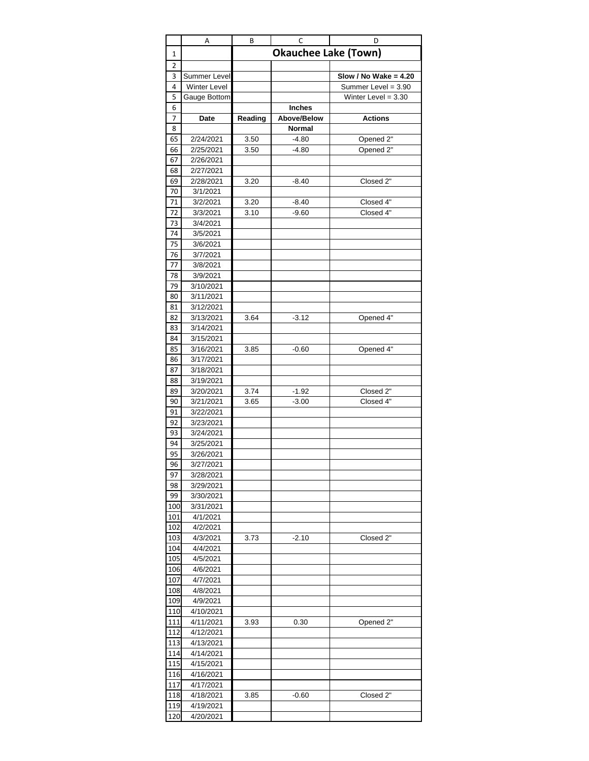|          | Α                      | В            | C                           | D                       |
|----------|------------------------|--------------|-----------------------------|-------------------------|
| 1        |                        |              | <b>Okauchee Lake (Town)</b> |                         |
| 2        |                        |              |                             |                         |
| 3        | Summer Level           |              |                             | Slow / No Wake = $4.20$ |
| 4        | <b>Winter Level</b>    |              |                             | Summer Level = 3.90     |
| 5        | Gauge Bottom           |              |                             | Winter Level = $3.30$   |
| 6        |                        |              | <b>Inches</b>               |                         |
| 7        | Date                   | Reading      | Above/Below                 | <b>Actions</b>          |
| 8<br>65  | 2/24/2021              |              | <b>Normal</b>               |                         |
| 66       | 2/25/2021              | 3.50<br>3.50 | $-4.80$<br>$-4.80$          | Opened 2"<br>Opened 2"  |
| 67       | 2/26/2021              |              |                             |                         |
| 68       | 2/27/2021              |              |                             |                         |
| 69       | 2/28/2021              | 3.20         | $-8.40$                     | Closed 2"               |
| 70       | 3/1/2021               |              |                             |                         |
| 71       | 3/2/2021               | 3.20         | $-8.40$                     | Closed 4"               |
| 72       | 3/3/2021               | 3.10         | $-9.60$                     | Closed 4"               |
| 73       | 3/4/2021               |              |                             |                         |
| 74       | 3/5/2021               |              |                             |                         |
| 75       | 3/6/2021               |              |                             |                         |
| 76       | 3/7/2021               |              |                             |                         |
| 77       | 3/8/2021               |              |                             |                         |
| 78       | 3/9/2021               |              |                             |                         |
| 79       | 3/10/2021              |              |                             |                         |
| 80       | 3/11/2021              |              |                             |                         |
| 81       | 3/12/2021              |              |                             |                         |
| 82       | 3/13/2021              | 3.64         | $-3.12$                     | Opened 4"               |
| 83       | 3/14/2021              |              |                             |                         |
| 84       | 3/15/2021              |              |                             |                         |
| 85       | 3/16/2021              | 3.85         | $-0.60$                     | Opened 4"               |
| 86       | 3/17/2021              |              |                             |                         |
| 87       | 3/18/2021              |              |                             |                         |
| 88       | 3/19/2021              |              |                             |                         |
| 89       | 3/20/2021              | 3.74         | $-1.92$                     | Closed 2"               |
| 90       | 3/21/2021              | 3.65         | $-3.00$                     | Closed 4"               |
| 91       | 3/22/2021              |              |                             |                         |
| 92       | 3/23/2021              |              |                             |                         |
| 93<br>94 | 3/24/2021              |              |                             |                         |
| 95       | 3/25/2021<br>3/26/2021 |              |                             |                         |
| 96       | 3/27/2021              |              |                             |                         |
| 97       | 3/28/2021              |              |                             |                         |
| 98       | 3/29/2021              |              |                             |                         |
| 99       | 3/30/2021              |              |                             |                         |
| 100      | 3/31/2021              |              |                             |                         |
| 101      | 4/1/2021               |              |                             |                         |
| 102      | 4/2/2021               |              |                             |                         |
| 103      | 4/3/2021               | 3.73         | $-2.10$                     | Closed 2"               |
| 104      | 4/4/2021               |              |                             |                         |
| 105      | 4/5/2021               |              |                             |                         |
| 106      | 4/6/2021               |              |                             |                         |
| 107      | 4/7/2021               |              |                             |                         |
| 108      | 4/8/2021               |              |                             |                         |
| 109      | 4/9/2021               |              |                             |                         |
| 110      | 4/10/2021              |              |                             |                         |
| 111      | 4/11/2021              | 3.93         | 0.30                        | Opened 2"               |
| 112      | 4/12/2021              |              |                             |                         |
| 113      | 4/13/2021              |              |                             |                         |
| 114      | 4/14/2021              |              |                             |                         |
| 115      | 4/15/2021              |              |                             |                         |
| 116      | 4/16/2021              |              |                             |                         |
| 117      | 4/17/2021              |              |                             |                         |
| 118      | 4/18/2021              | 3.85         | $-0.60$                     | Closed 2"               |
| 119      | 4/19/2021              |              |                             |                         |
| 120      | 4/20/2021              |              |                             |                         |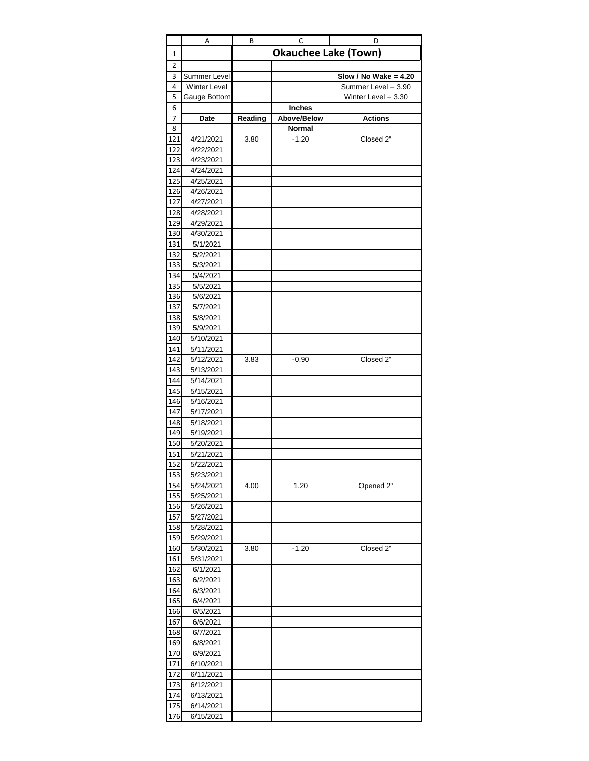|            | Α                      | В       | С                           | D                       |
|------------|------------------------|---------|-----------------------------|-------------------------|
| 1          |                        |         | <b>Okauchee Lake (Town)</b> |                         |
| 2          |                        |         |                             |                         |
| 3          | Summer Level           |         |                             | Slow / No Wake = $4.20$ |
| 4          | Winter Level           |         |                             | Summer Level = 3.90     |
| 5          | Gauge Bottom           |         |                             | Winter Level = $3.30$   |
| 6          |                        |         | <b>Inches</b>               |                         |
| 7          | Date                   | Reading | Above/Below                 | <b>Actions</b>          |
| 8          |                        |         | Normal                      |                         |
| 121        | 4/21/2021              | 3.80    | $-1.20$                     | Closed 2"               |
| 122<br>123 | 4/22/2021<br>4/23/2021 |         |                             |                         |
| 124        | 4/24/2021              |         |                             |                         |
| <b>125</b> | 4/25/2021              |         |                             |                         |
| 126        | 4/26/2021              |         |                             |                         |
| 127        | 4/27/2021              |         |                             |                         |
| 128        | 4/28/2021              |         |                             |                         |
| 129        | 4/29/2021              |         |                             |                         |
| 130        | 4/30/2021              |         |                             |                         |
| 131        | 5/1/2021               |         |                             |                         |
| 132        | 5/2/2021               |         |                             |                         |
| 133        | 5/3/2021               |         |                             |                         |
| 134        | 5/4/2021               |         |                             |                         |
| 135        | 5/5/2021               |         |                             |                         |
| 136        | 5/6/2021               |         |                             |                         |
| 137        | 5/7/2021               |         |                             |                         |
| 138        | 5/8/2021               |         |                             |                         |
| 139        | 5/9/2021               |         |                             |                         |
| 140        | 5/10/2021              |         |                             |                         |
| 141        | 5/11/2021              |         |                             |                         |
| 142        | 5/12/2021              | 3.83    | $-0.90$                     | Closed 2"               |
| 143        | 5/13/2021              |         |                             |                         |
| 144        | 5/14/2021              |         |                             |                         |
| 145        | 5/15/2021              |         |                             |                         |
| 146        | 5/16/2021              |         |                             |                         |
| 147        | 5/17/2021              |         |                             |                         |
| 148        | 5/18/2021              |         |                             |                         |
| 149        | 5/19/2021              |         |                             |                         |
| 150        | 5/20/2021              |         |                             |                         |
| 151        | 5/21/2021              |         |                             |                         |
| 152        | 5/22/2021              |         |                             |                         |
| 153        | 5/23/2021              |         |                             |                         |
| 154<br>155 | 5/24/2021<br>5/25/2021 | 4.00    | 1.20                        | Opened 2"               |
| 156        | 5/26/2021              |         |                             |                         |
| 157        | 5/27/2021              |         |                             |                         |
| 158        | 5/28/2021              |         |                             |                         |
| 159        | 5/29/2021              |         |                             |                         |
| 160        | 5/30/2021              | 3.80    | $-1.20$                     | Closed 2"               |
| 161        | 5/31/2021              |         |                             |                         |
| 162        | 6/1/2021               |         |                             |                         |
| 163        | 6/2/2021               |         |                             |                         |
| 164        | 6/3/2021               |         |                             |                         |
| 165        | 6/4/2021               |         |                             |                         |
| 166        | 6/5/2021               |         |                             |                         |
| 167        | 6/6/2021               |         |                             |                         |
| 168        | 6/7/2021               |         |                             |                         |
| 169        | 6/8/2021               |         |                             |                         |
| 170        | 6/9/2021               |         |                             |                         |
| 171        | 6/10/2021              |         |                             |                         |
| 172        | 6/11/2021              |         |                             |                         |
| 173        | 6/12/2021              |         |                             |                         |
| 174        | 6/13/2021              |         |                             |                         |
| 175        | 6/14/2021              |         |                             |                         |
| 176        | 6/15/2021              |         |                             |                         |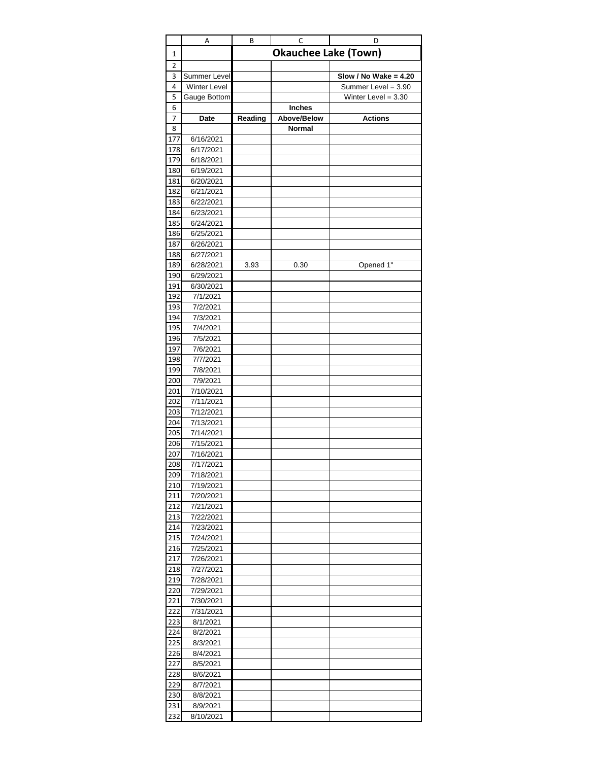|            | Α                      | В       | C                           | D                       |
|------------|------------------------|---------|-----------------------------|-------------------------|
| 1          |                        |         | <b>Okauchee Lake (Town)</b> |                         |
| 2          |                        |         |                             |                         |
| 3          | Summer Level           |         |                             | Slow / No Wake = $4.20$ |
| 4          | Winter Level           |         |                             | Summer Level = 3.90     |
| 5          | Gauge Bottom           |         |                             | Winter Level = $3.30$   |
| 6          |                        |         | Inches                      |                         |
| 7          | Date                   | Reading | Above/Below                 | <b>Actions</b>          |
| 8          |                        |         | Normal                      |                         |
| 177        | 6/16/2021              |         |                             |                         |
| 178        | 6/17/2021              |         |                             |                         |
| 179        | 6/18/2021              |         |                             |                         |
| 180        | 6/19/2021              |         |                             |                         |
| 181        | 6/20/2021              |         |                             |                         |
| 182        | 6/21/2021              |         |                             |                         |
| 183        | 6/22/2021              |         |                             |                         |
| 184        | 6/23/2021              |         |                             |                         |
| 185        | 6/24/2021              |         |                             |                         |
| 186        | 6/25/2021              |         |                             |                         |
| 187        | 6/26/2021              |         |                             |                         |
| 188        | 6/27/2021              |         |                             |                         |
| 189        | 6/28/2021              | 3.93    | 0.30                        | Opened 1"               |
| 190        | 6/29/2021              |         |                             |                         |
| 191        | 6/30/2021              |         |                             |                         |
| 192        | 7/1/2021               |         |                             |                         |
| 193        | 7/2/2021               |         |                             |                         |
| 194        | 7/3/2021               |         |                             |                         |
| 195        | 7/4/2021               |         |                             |                         |
| 196        | 7/5/2021               |         |                             |                         |
| 197        | 7/6/2021               |         |                             |                         |
| 198        | 7/7/2021               |         |                             |                         |
| 199        | 7/8/2021               |         |                             |                         |
| 200        | 7/9/2021               |         |                             |                         |
| 201        | 7/10/2021              |         |                             |                         |
| 202        | 7/11/2021              |         |                             |                         |
| 203        | 7/12/2021              |         |                             |                         |
| 204<br>205 | 7/13/2021<br>7/14/2021 |         |                             |                         |
| 206        | 7/15/2021              |         |                             |                         |
| 207        | 7/16/2021              |         |                             |                         |
| 208        | 7/17/2021              |         |                             |                         |
| 209        | 7/18/2021              |         |                             |                         |
| 210        | 7/19/2021              |         |                             |                         |
| 211        | 7/20/2021              |         |                             |                         |
| 212        | 7/21/2021              |         |                             |                         |
| 213        | 7/22/2021              |         |                             |                         |
| 214        | 7/23/2021              |         |                             |                         |
| 215        | 7/24/2021              |         |                             |                         |
| 216        | 7/25/2021              |         |                             |                         |
| 217        | 7/26/2021              |         |                             |                         |
| 218        | 7/27/2021              |         |                             |                         |
| 219        | 7/28/2021              |         |                             |                         |
| 220        | 7/29/2021              |         |                             |                         |
| 221        | 7/30/2021              |         |                             |                         |
| 222        | 7/31/2021              |         |                             |                         |
| 223        | 8/1/2021               |         |                             |                         |
| 224        | 8/2/2021               |         |                             |                         |
| 225        | 8/3/2021               |         |                             |                         |
| 226        | 8/4/2021               |         |                             |                         |
| 227        | 8/5/2021               |         |                             |                         |
| 228        | 8/6/2021               |         |                             |                         |
| 229        | 8/7/2021               |         |                             |                         |
| 230        | 8/8/2021               |         |                             |                         |
| 231        | 8/9/2021               |         |                             |                         |
| 232        | 8/10/2021              |         |                             |                         |